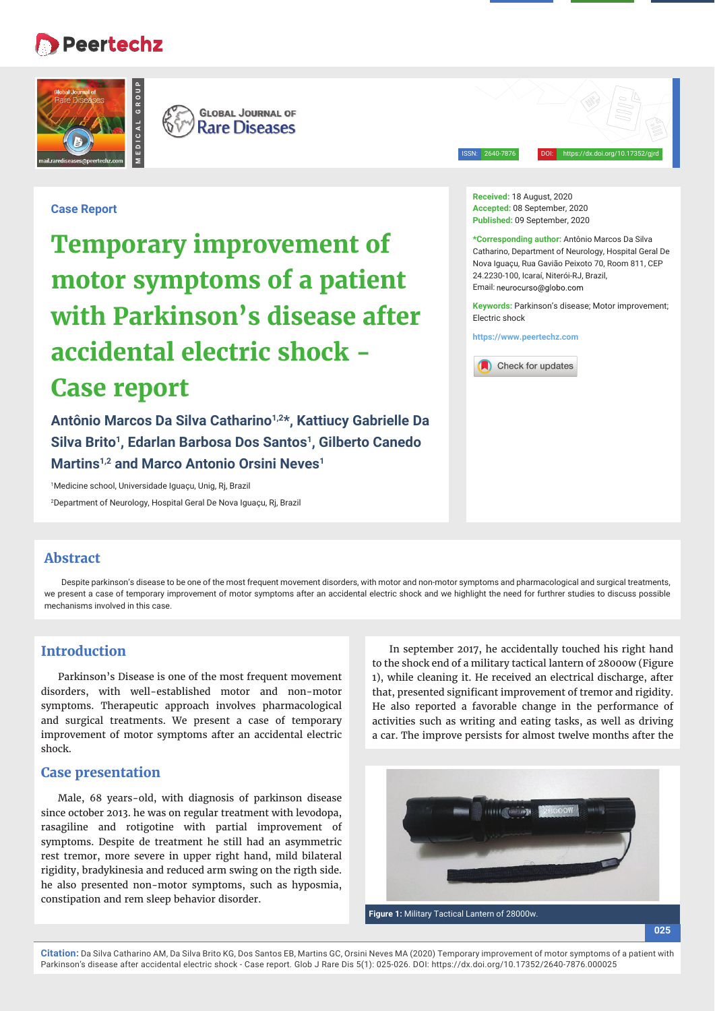# **Peertechz**





ISSN: 2640-7876 DOI: https://dx.doi.org/10.17352/gjrd

## **Case Report**

**Temporary improvement of motor symptoms of a patient with Parkinson's disease after accidental electric shock - Case report**

**Antônio Marcos Da Silva Catharino1,2\*, Kattiucy Gabrielle Da Silva Brito1, Edarlan Barbosa Dos Santos1, Gilberto Canedo Martins1,2 and Marco Antonio Orsini Neves1**

1 Medicine school, Universidade Iguaçu, Unig, Rj, Brazil 2 Department of Neurology, Hospital Geral De Nova Iguaçu, Rj, Brazil

#### **Received:** 18 August, 2020 **Accepted:** 08 September, 2020 **Published:** 09 September, 2020

**\*Corresponding author:** Antônio Marcos Da Silva Catharino, Department of Neurology, Hospital Geral De Nova Iguaçu, Rua Gavião Peixoto 70, Room 811, CEP 24.2230-100, Icaraí, Niterói-RJ, Brazil, Email: neurocurso@globo.com

**Keywords:** Parkinson's disease; Motor improvement; Electric shock

**https://www.peertechz.com**



### **Abstract**

Despite parkinson's disease to be one of the most frequent movement disorders, with motor and non-motor symptoms and pharmacological and surgical treatments, we present a case of temporary improvement of motor symptoms after an accidental electric shock and we highlight the need for furthrer studies to discuss possible mechanisms involved in this case.

## **Introduction**

Parkinson's Disease is one of the most frequent movement disorders, with well-established motor and non-motor symptoms. Therapeutic approach involves pharmacological and surgical treatments. We present a case of temporary improvement of motor symptoms after an accidental electric shock.

### **Case presentation**

Male, 68 years-old, with diagnosis of parkinson disease since october 2013. he was on regular treatment with levodopa, rasagiline and rotigotine with partial improvement of symptoms. Despite de treatment he still had an asymmetric rest tremor, more severe in upper right hand, mild bilateral rigidity, bradykinesia and reduced arm swing on the rigth side. he also presented non-motor symptoms, such as hyposmia, constipation and rem sleep behavior disorder.

In september 2017, he accidentally touched his right hand to the shock end of a military tactical lantern of 28000w (Figure 1), while cleaning it. He received an electrical discharge, after that, presented significant improvement of tremor and rigidity. He also reported a favorable change in the performance of activities such as writing and eating tasks, as well as driving a car. The improve persists for almost twelve months after the



**Citation:** Da Silva Catharino AM, Da Silva Brito KG, Dos Santos EB, Martins GC, Orsini Neves MA (2020) Temporary improvement of motor symptoms of a patient with Parkinson's disease after accidental electric shock - Case report. Glob J Rare Dis 5(1): 025-026. DOI: https://dx.doi.org/10.17352/2640-7876.000025